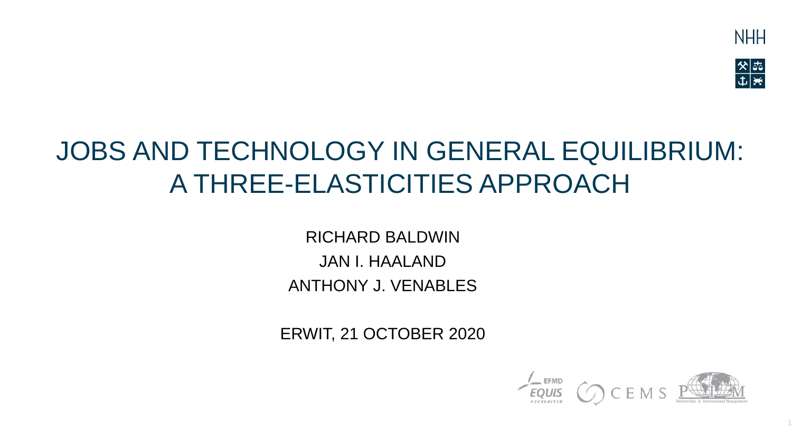

1

# JOBS AND TECHNOLOGY IN GENERAL EQUILIBRIUM: A THREE-ELASTICITIES APPROACH

RICHARD BALDWIN JAN I. HAALAND ANTHONY J. VENABLES

ERWIT, 21 OCTOBER 2020

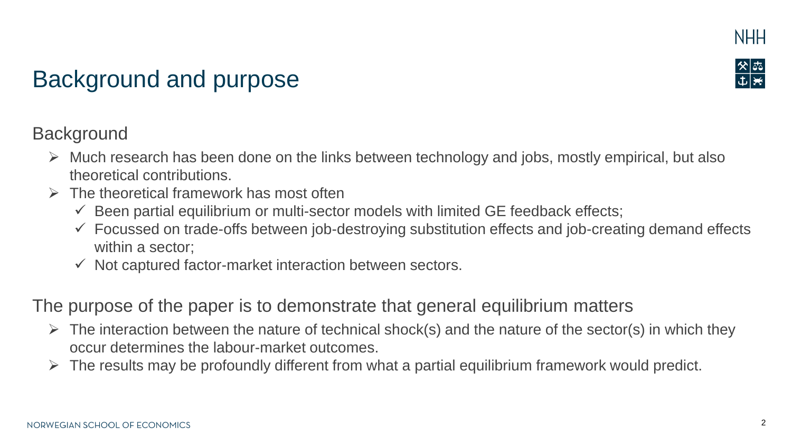



# Background and purpose

#### **Background**

- $\triangleright$  Much research has been done on the links between technology and jobs, mostly empirical, but also theoretical contributions.
- $\triangleright$  The theoretical framework has most often
	- $\checkmark$  Been partial equilibrium or multi-sector models with limited GE feedback effects;
	- ✓ Focussed on trade-offs between job-destroying substitution effects and job-creating demand effects within a sector;
	- $\checkmark$  Not captured factor-market interaction between sectors.

The purpose of the paper is to demonstrate that general equilibrium matters

- $\triangleright$  The interaction between the nature of technical shock(s) and the nature of the sector(s) in which they occur determines the labour-market outcomes.
- $\triangleright$  The results may be profoundly different from what a partial equilibrium framework would predict.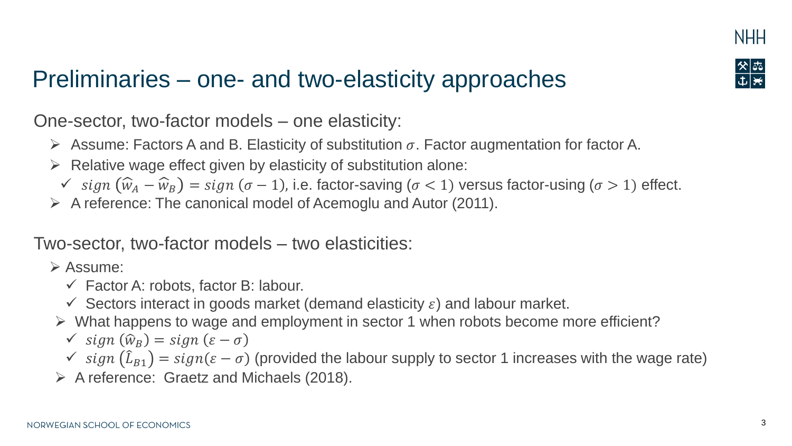

# Preliminaries – one- and two-elasticity approaches

One-sector, two-factor models – one elasticity:

- $\triangleright$  Assume: Factors A and B. Elasticity of substitution  $\sigma$ . Factor augmentation for factor A.
- $\triangleright$  Relative wage effect given by elasticity of substitution alone:
	- $\checkmark$  sign  $(\widehat{w}_A \widehat{w}_B) = sign (\sigma 1)$ , i.e. factor-saving (σ < 1) versus factor-using (σ > 1) effect.
- ➢ A reference: The canonical model of Acemoglu and Autor (2011).

#### Two-sector, two-factor models – two elasticities:

➢ Assume:

- $\checkmark$  Factor A: robots, factor B: labour.
- $\checkmark$  Sectors interact in goods market (demand elasticity  $\varepsilon$ ) and labour market.
- ➢ What happens to wage and employment in sector 1 when robots become more efficient?

$$
\checkmark \, sign\,(\widehat{w}_B) = sign\,(\varepsilon - \sigma)
$$

- $\checkmark$  sign  $(\hat{L}_{B1}) = sign(\varepsilon \sigma)$  (provided the labour supply to sector 1 increases with the wage rate)
- ➢ A reference: Graetz and Michaels (2018).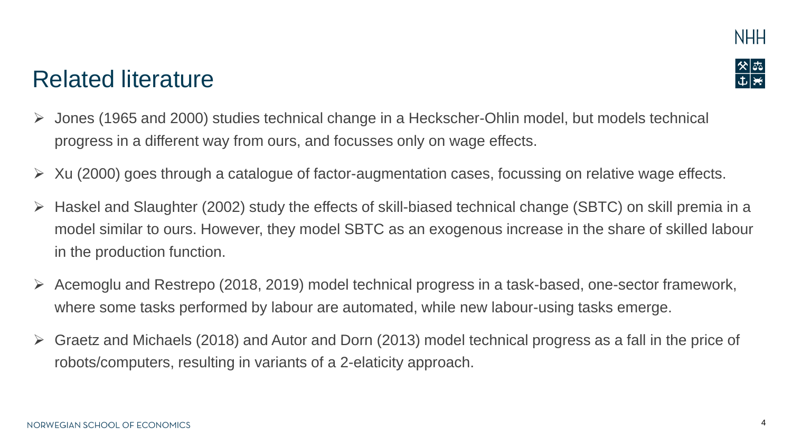

### Related literature

- ➢ Jones (1965 and 2000) studies technical change in a Heckscher-Ohlin model, but models technical progress in a different way from ours, and focusses only on wage effects.
- $\triangleright$  Xu (2000) goes through a catalogue of factor-augmentation cases, focussing on relative wage effects.
- ➢ Haskel and Slaughter (2002) study the effects of skill-biased technical change (SBTC) on skill premia in a model similar to ours. However, they model SBTC as an exogenous increase in the share of skilled labour in the production function.
- ➢ Acemoglu and Restrepo (2018, 2019) model technical progress in a task-based, one-sector framework, where some tasks performed by labour are automated, while new labour-using tasks emerge.
- $\triangleright$  Graetz and Michaels (2018) and Autor and Dorn (2013) model technical progress as a fall in the price of robots/computers, resulting in variants of a 2-elaticity approach.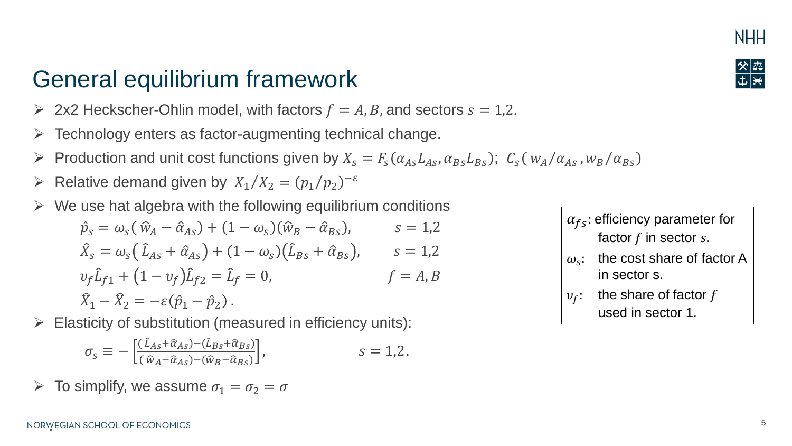### General equilibrium framework

- $\triangleright$  2x2 Heckscher-Ohlin model, with factors  $f = A, B$ , and sectors  $s = 1, 2$ .
- $\triangleright$  Technology enters as factor-augmenting technical change.
- $\triangleright$  Production and unit cost functions given by  $X_s = F_s(\alpha_{As}L_{As}, \alpha_{Bs}L_{Bs})$ ;  $C_s(w_A/\alpha_{As}, w_B/\alpha_{Bs})$
- $\triangleright$  Relative demand given by  $X_1/X_2 = (p_1/p_2)^{-\varepsilon}$
- $\triangleright$  We use hat algebra with the following equilibrium conditions

$$
\hat{p}_s = \omega_s (\hat{w}_A - \hat{\alpha}_{As}) + (1 - \omega_s)(\hat{w}_B - \hat{\alpha}_{Bs}), \qquad s = 1,2
$$
  

$$
\hat{X}_s = \omega_s (\hat{L}_{As} + \hat{\alpha}_{As}) + (1 - \omega_s)(\hat{L}_{Bs} + \hat{\alpha}_{Bs}), \qquad s = 1,2
$$
  

$$
\nu_f \hat{L}_{f1} + (1 - \nu_f)\hat{L}_{f2} = \hat{L}_f = 0, \qquad f = A, B
$$
  

$$
\hat{X}_1 - \hat{X}_2 = -\varepsilon(\hat{p}_1 - \hat{p}_2).
$$

 $\triangleright$  Elasticity of substitution (measured in efficiency units):

$$
\sigma_{s} \equiv -\left[\frac{(\hat{\iota}_{As} + \hat{\alpha}_{As}) - (\hat{\iota}_{Bs} + \hat{\alpha}_{Bs})}{(\hat{w}_{A} - \hat{\alpha}_{As}) - (\hat{w}_{B} - \hat{\alpha}_{Bs})}\right], \qquad s = 1, 2.
$$

 $\triangleright$  To simplify, we assume  $\sigma_1 = \sigma_2 = \sigma$ 

 $\alpha_{fs}$ : efficiency parameter for factor  $f$  in sector  $s$ .

- $\omega_{\rm c}$ : the cost share of factor A in sector s.
- $v_f$ : the share of factor f used in sector 1.



**NHH**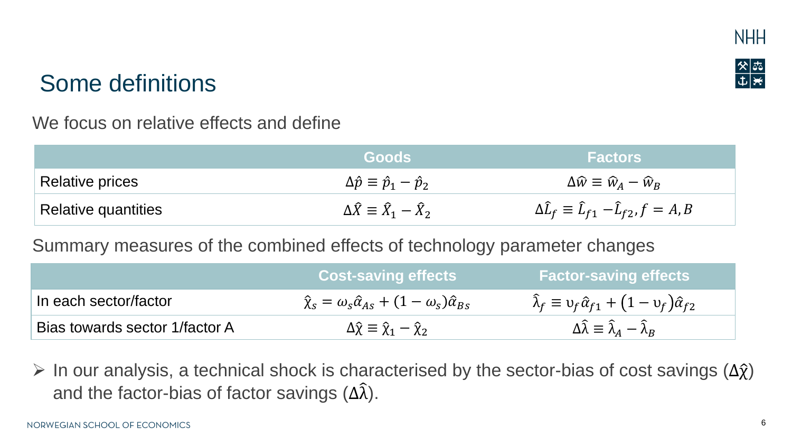



#### We focus on relative effects and define

|                     | <b>Goods</b>                                              | <b>Factors</b>                                                  |  |
|---------------------|-----------------------------------------------------------|-----------------------------------------------------------------|--|
| Relative prices     | $\Delta \hat{p} \equiv \hat{p}_1 - \hat{p}_2$             | $\Delta \widehat{w} \equiv \widehat{w}_A - \widehat{w}_B$       |  |
| Relative quantities | $\Delta \widehat{X} \equiv \widehat{X}_1 - \widehat{X}_2$ | $\Delta \hat{L}_f \equiv \hat{L}_{f1} - \hat{L}_{f2}, f = A, B$ |  |

#### Summary measures of the combined effects of technology parameter changes

|                                | <b>Cost-saving effects</b>                                                     | <b>Factor-saving effects</b>                                                 |
|--------------------------------|--------------------------------------------------------------------------------|------------------------------------------------------------------------------|
| In each sector/factor          | $\hat{\chi}_s = \omega_s \hat{\alpha}_{As} + (1 - \omega_s) \hat{\alpha}_{Bs}$ | $\hat{\lambda}_f \equiv v_f \hat{\alpha}_{f1} + (1 - v_f) \hat{\alpha}_{f2}$ |
| Bias towards sector 1/factor A | $\Delta \hat{\chi} \equiv \hat{\chi}_1 - \hat{\chi}_2$                         | $\Delta\widehat{\lambda} \equiv \widehat{\lambda}_A - \widehat{\lambda}_B$   |

 $\triangleright$  In our analysis, a technical shock is characterised by the sector-bias of cost savings  $(\Delta \hat{\chi})$ and the factor-bias of factor savings  $(\Delta \hat{\lambda})$ .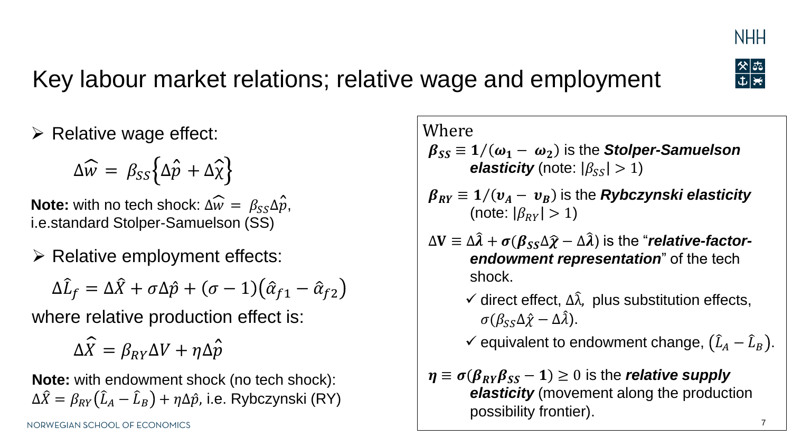

# Key labour market relations; relative wage and employment

 $\begin{array}{|c|c|}\hline \times & \xrightarrow{\circlearrowright} & \xrightarrow{\circlearrowright} & \xrightarrow{\circlearrowright} & \xrightarrow{\circlearrowright} & \xrightarrow{\circlearrowright} & \xrightarrow{\circlearrowright} & \xrightarrow{\circlearrowright} & \xrightarrow{\circlearrowright} & \xrightarrow{\circlearrowright} & \xrightarrow{\circlearrowright} & \xrightarrow{\circlearrowleft} & \xrightarrow{\circlearrowright} & \xrightarrow{\circlearrowleft} & \xrightarrow{\circlearrowright} & \xrightarrow{\circlearrowright} & \xrightarrow{\circlearrowright} & \xrightarrow{\circlearrowright} & \xrightarrow{\circlearrowright} & \xrightarrow{\circlearrowright} & \xrightarrow{\circlearrowright} & \xrightarrow{\$ 

 $\triangleright$  Relative wage effect:

$$
\Delta \widehat{w} = \beta_{SS} \big\{ \Delta \widehat{p} + \Delta \widehat{\chi} \big\}
$$

**Note:** with no tech shock:  $\Delta \widehat{w} = \beta_{SS} \Delta \widehat{p}$ , i.e.standard Stolper-Samuelson (SS)

➢ Relative employment effects:

$$
\Delta \hat{L}_f = \Delta \hat{X} + \sigma \Delta \hat{p} + (\sigma - 1) (\hat{\alpha}_{f1} - \hat{\alpha}_{f2})
$$

where relative production effect is:

 $\Delta \widehat{X} = \beta_{RY} \Delta V + \eta \Delta \hat{p}$ 

**Note:** with endowment shock (no tech shock):  $\Delta \widehat{X} = \beta_{RY} \big( \widehat{L}_A - \widehat{L}_B \big) + \eta \Delta \hat{p}$ , i.e. Rybczynski (RY) Where

- $\beta_{SS} \equiv 1/(\omega_1 \omega_2)$  is the **Stolper-Samuelson** *elasticity* (note:  $|\beta_{ss}| > 1$ )
- $\beta_{RY} \equiv 1/(v_A v_B)$  is the *Rybczynski elasticity* (note:  $|\beta_{\text{RV}}| > 1$ )
- $\Delta V \equiv \Delta \hat{\lambda} + \sigma (\beta_{SS} \Delta \hat{\chi} \Delta \hat{\lambda})$  is the "*relative-factorendowment representation*" of the tech shock.
	- $\checkmark$  direct effect,  $\Delta \hat{\lambda}$ , plus substitution effects,  $\sigma(\beta_{\rm SS}\Delta\hat{\chi}-\Delta\hat{\lambda}).$

 $\checkmark$  equivalent to endowment change,  $(\hat{L}_A - \hat{L}_B)$ .

$$
\eta \equiv \sigma(\beta_{RY}\beta_{SS} - 1) \ge 0
$$
 is the **relative supply**  
**elasticity** (movernent along the production  
possibility frontier).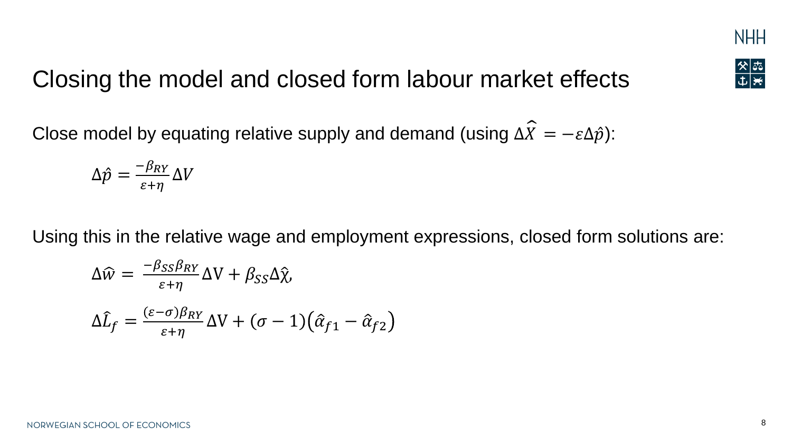

# Closing the model and closed form labour market effects

Close model by equating relative supply and demand (using  $\Delta \widehat{X} = -\varepsilon \Delta \hat{p}$ ):

$$
\Delta \hat{p} = \frac{-\beta_{RY}}{\varepsilon + \eta} \Delta V
$$

Using this in the relative wage and employment expressions, closed form solutions are:

$$
\Delta \widehat{w} = \frac{-\beta_{SS}\beta_{RY}}{\varepsilon + \eta} \Delta V + \beta_{SS}\Delta \widehat{\chi},
$$
  

$$
\Delta \widehat{L}_f = \frac{(\varepsilon - \sigma)\beta_{RY}}{\varepsilon + \eta} \Delta V + (\sigma - 1)(\widehat{\alpha}_{f1} - \widehat{\alpha}_{f2})
$$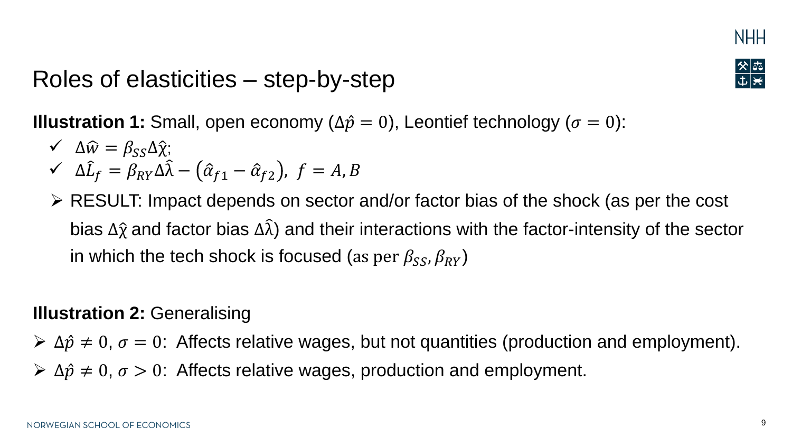

### Roles of elasticities – step-by-step

**Illustration 1:** Small, open economy ( $\Delta \hat{p} = 0$ ), Leontief technology ( $\sigma = 0$ ):

- $\angle \quad \Delta \hat{w} = \beta_{SS} \Delta \hat{\chi};$  $\angle \Delta \hat{L}_f = \beta_{RY} \Delta \hat{\lambda} - (\hat{\alpha}_{f1} - \hat{\alpha}_{f2}), f = A, B$
- ➢ RESULT: Impact depends on sector and/or factor bias of the shock (as per the cost bias  $\Delta\hat{\chi}$  and factor bias  $\Delta\hat{\lambda}$ ) and their interactions with the factor-intensity of the sector in which the tech shock is focused (as per  $\beta_{SS}$ ,  $\beta_{RY}$ )

#### **Illustration 2:** Generalising

 $\triangleright$   $\Delta \hat{p} \neq 0$ ,  $\sigma = 0$ : Affects relative wages, but not quantities (production and employment).

 $\triangleright$   $\Delta \hat{p} \neq 0$ ,  $\sigma > 0$ : Affects relative wages, production and employment.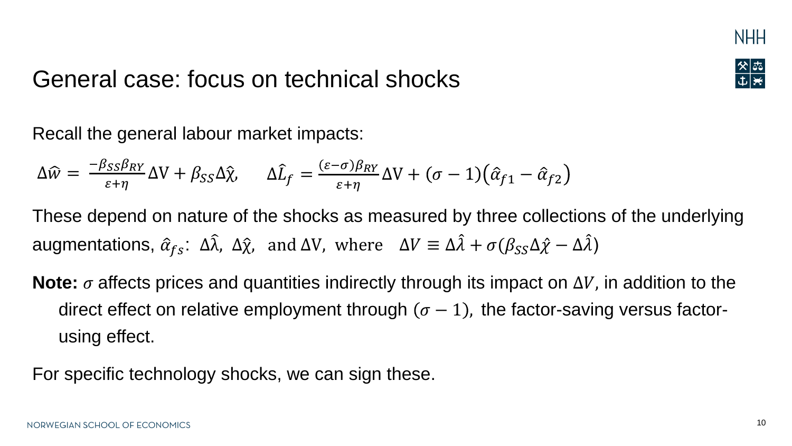

# General case: focus on technical shocks

Recall the general labour market impacts:

$$
\Delta \widehat{w} = \frac{-\beta_{SS}\beta_{RY}}{\varepsilon + \eta} \Delta V + \beta_{SS}\Delta \widehat{\chi}, \qquad \Delta \widehat{L}_f = \frac{(\varepsilon - \sigma)\beta_{RY}}{\varepsilon + \eta} \Delta V + (\sigma - 1)(\widehat{\alpha}_{f1} - \widehat{\alpha}_{f2})
$$

These depend on nature of the shocks as measured by three collections of the underlying augmentations,  $\hat{\alpha}_{fs}$ :  $\Delta \hat{\lambda}$ ,  $\Delta \hat{\chi}$ , and  $\Delta V$ , where  $\Delta V \equiv \Delta \hat{\lambda} + \sigma (\beta_{SS} \Delta \hat{\chi} - \Delta \hat{\lambda})$ 

**Note:**  $\sigma$  affects prices and quantities indirectly through its impact on  $\Delta V$ , in addition to the direct effect on relative employment through  $(\sigma - 1)$ , the factor-saving versus factorusing effect.

For specific technology shocks, we can sign these.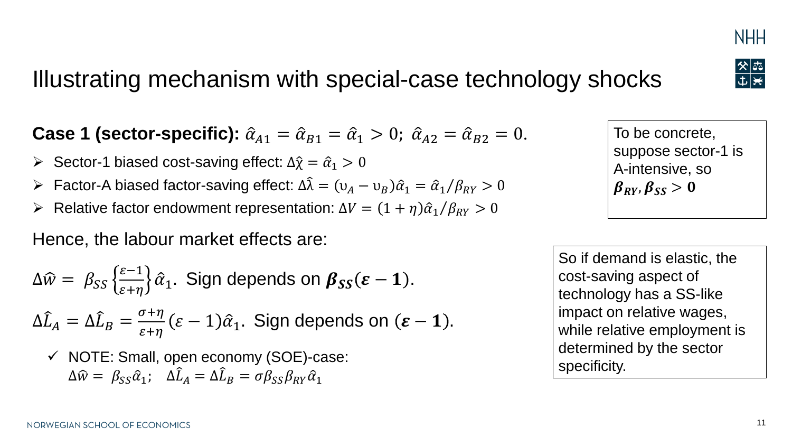### Illustrating mechanism with special-case technology shocks

**Case 1 (sector-specific):**  $\hat{\alpha}_{A1} = \hat{\alpha}_{B1} = \hat{\alpha}_1 > 0$ ;  $\hat{\alpha}_{A2} = \hat{\alpha}_{B2} = 0$ .

- $\triangleright$  Sector-1 biased cost-saving effect: Δ $\hat{\chi} = \hat{\alpha}_1 > 0$
- $\rho$  Factor-A biased factor-saving effect:  $\Delta \hat{\lambda} = (\nu_A \nu_B)\hat{\alpha}_1 = \hat{\alpha}_1/\beta_{RY} > 0$

► Relative factor endowment representation: 
$$
\Delta V = (1 + \eta)\hat{\alpha}_1/\beta_{RY} > 0
$$

Hence, the labour market effects are:

$$
\Delta \widehat{w} = \beta_{SS} \left\{ \frac{\varepsilon - 1}{\varepsilon + \eta} \right\} \widehat{\alpha}_1.
$$
 Sign depends on  $\beta_{SS}(\varepsilon - 1)$ .  

$$
\Delta \widehat{L}_A = \Delta \widehat{L}_B = \frac{\sigma + \eta}{\varepsilon + \eta} (\varepsilon - 1) \widehat{\alpha}_1.
$$
Sign depends on  $(\varepsilon - 1)$ .

✓ NOTE: Small, open economy (SOE)-case:  $\Delta \widehat{w} = \beta_{SS} \widehat{\alpha}_1; \quad \Delta \widehat{L}_A = \Delta \widehat{L}_B = \sigma \beta_{SS} \beta_{RY} \widehat{\alpha}_1$ 

NORWEGIAN SCHOOL OF ECONOMICS

So if demand is elastic, the cost-saving aspect of technology has a SS-like impact on relative wages, while relative employment is determined by the sector specificity.





**NHH**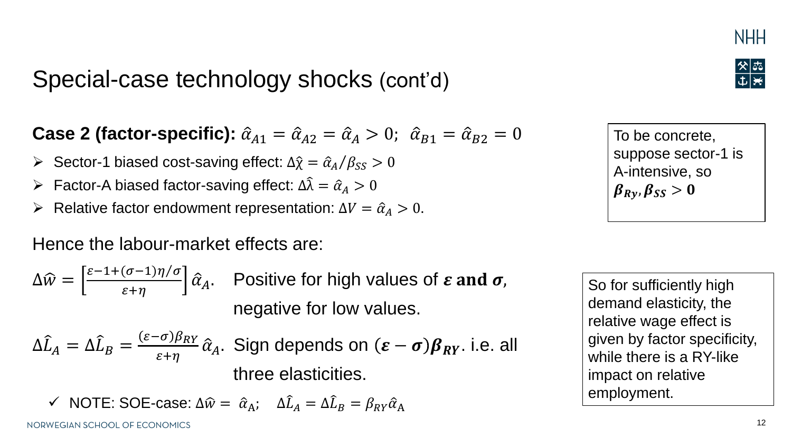# Special-case technology shocks (cont'd)

**Case 2 (factor-specific):**  $\hat{\alpha}_{A1} = \hat{\alpha}_{A2} = \hat{\alpha}_A > 0$ ;  $\hat{\alpha}_{B1} = \hat{\alpha}_{B2} = 0$ 

- $\triangleright$  Sector-1 biased cost-saving effect:  $\Delta \hat{\chi} = \hat{\alpha}_A/\beta_{SS} > 0$
- $\rho$  Factor-A biased factor-saving effect:  $\Delta \hat{\lambda} = \hat{\alpha}_A > 0$
- $\triangleright$  Relative factor endowment representation: Δ $V = \hat{\alpha}_A > 0$ .

Hence the labour-market effects are:

$$
\Delta \widehat{w} = \left[\frac{\varepsilon - 1 + (\sigma - 1)\eta/\sigma}{\varepsilon + \eta}\right] \widehat{\alpha}_A.
$$
 Positive for high values of  $\varepsilon$  and  $\sigma$ ,  
negative for low values.

$$
\Delta \hat{L}_A = \Delta \hat{L}_B = \frac{(\varepsilon - \sigma)\beta_{RY}}{\varepsilon + \eta} \hat{\alpha}_A
$$
. Sign depends on  $(\varepsilon - \sigma)\beta_{RY}$ . i.e. all three elasticities.

 $\checkmark$  NOTE: SOE-case:  $\Delta \hat{w} = \hat{\alpha}_A$ ;  $\Delta \hat{L}_A = \Delta \hat{L}_B = \beta_{RY} \hat{\alpha}_A$ 

To be concrete, suppose sector-1 is A-intensive, so  $\beta_{Ry}, \beta_{SS} > 0$ 

So for sufficiently high demand elasticity, the relative wage effect is given by factor specificity, while there is a RY-like impact on relative employment.



**NHH**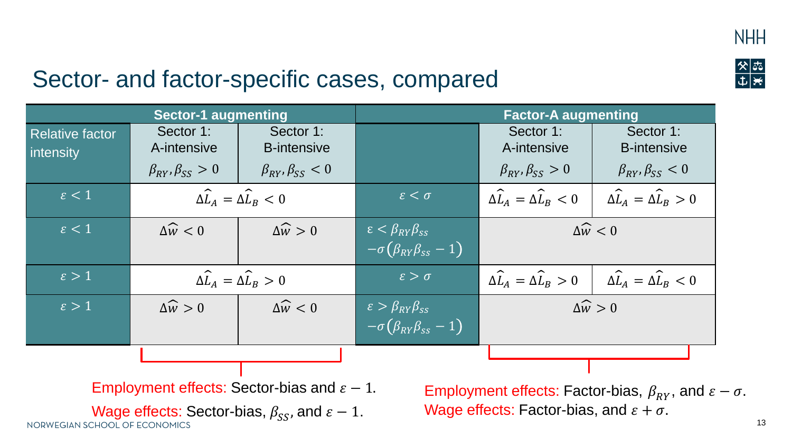

 $\frac{8}{1}$ 



| <b>Sector-1 augmenting</b>                                                                                                                       |                                                   | <b>Factor-A augmenting</b>      |                                                                            |                                                   |                                                   |  |
|--------------------------------------------------------------------------------------------------------------------------------------------------|---------------------------------------------------|---------------------------------|----------------------------------------------------------------------------|---------------------------------------------------|---------------------------------------------------|--|
| <b>Relative factor</b><br><i>intensity</i>                                                                                                       | Sector 1:<br>A-intensive                          | Sector 1:<br><b>B-intensive</b> |                                                                            | Sector 1:<br>A-intensive                          | Sector 1:<br><b>B-intensive</b>                   |  |
|                                                                                                                                                  | $\beta_{RY}, \beta_{SS} > 0$                      | $\beta_{RY}, \beta_{SS} < 0$    |                                                                            | $\beta_{RY}, \beta_{SS} > 0$                      | $\beta_{RY}, \beta_{SS} < 0$                      |  |
| $\varepsilon < 1$                                                                                                                                | $\Delta \widehat{L}_A = \Delta \widehat{L}_B < 0$ |                                 | $\varepsilon < \sigma$                                                     | $\Delta \widehat{L}_A = \Delta \widehat{L}_B < 0$ | $\Delta \widehat{L}_A = \Delta \widehat{L}_B > 0$ |  |
| $\varepsilon < 1$                                                                                                                                | $\Delta \widehat{w} < 0$                          | $\Delta \widehat{w} > 0$        | $\epsilon < \beta_{RY} \beta_{SS}$<br>$-\sigma(\beta_{RY}\beta_{ss}-1)$    | $\Delta \widehat{w} < 0$                          |                                                   |  |
| $\epsilon > 1$                                                                                                                                   | $\Delta \widehat{L}_A = \Delta \widehat{L}_B > 0$ |                                 | $\varepsilon > \sigma$                                                     | $\Delta \widehat{L}_A = \Delta \widehat{L}_B > 0$ | $\Delta \widehat{L}_A = \Delta \widehat{L}_B < 0$ |  |
| $\epsilon > 1$                                                                                                                                   | $\Delta \widehat{w} > 0$                          | $\Delta \widehat{w} < 0$        | $\varepsilon > \beta_{RY} \beta_{SS}$<br>$-\sigma(\beta_{RY}\beta_{ss}-1)$ | $\Delta \widehat{w} > 0$                          |                                                   |  |
|                                                                                                                                                  |                                                   |                                 |                                                                            |                                                   |                                                   |  |
| Employment effects: Sector-bias and $\varepsilon - 1$ .<br>Employment effects: Factor-bias, $\beta_{\scriptscriptstyle{RY}}$ , and $\varepsilon$ |                                                   |                                 |                                                                            |                                                   |                                                   |  |

Wage effects: Sector-bias,  $\beta_{SS}$ , and  $\varepsilon - 1$ .<br>NORWEGIAN SCHOOL OF ECONOMICS

 $-\sigma$ . Wage effects: Factor-bias, and  $\varepsilon + \sigma$ .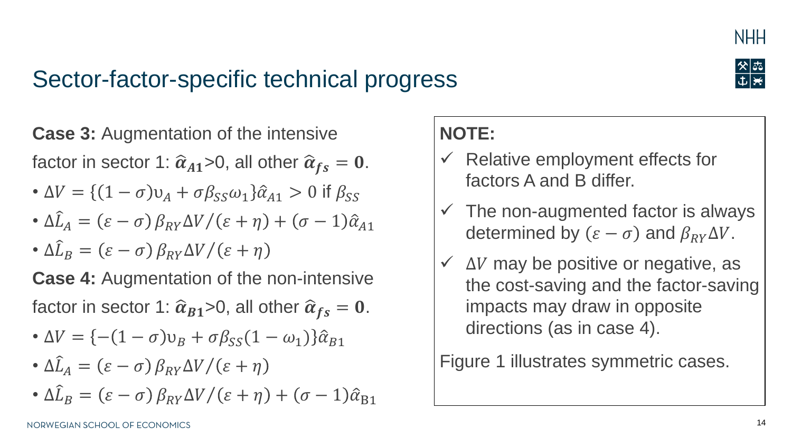

### Sector-factor-specific technical progress



# **Case 3: Augmentation of the intensive**

factor in sector 1:  $\hat{\alpha}_{A1}$ >0, all other  $\hat{\alpha}_{fs} = 0$ .

- $\Delta V = \{ (1 \sigma)v_A + \sigma \beta_{SS} \omega_1 \} \hat{\alpha}_{A1} > 0$  if  $\beta_{SS}$
- $\Delta \hat{L}_A = (\varepsilon \sigma) \beta_{RY} \Delta V / (\varepsilon + \eta) + (\sigma 1) \hat{\alpha}_{A1}$
- $\Delta \widehat{L}_B = (\varepsilon \sigma) \beta_{RY} \Delta V / (\varepsilon + \eta)$

**Case 4: Augmentation of the non-intensive** factor in sector 1:  $\widehat{\alpha}_{B1}$ >0, all other  $\widehat{\alpha}_{fs} = 0$ .

- $\Delta V = \{-(1 \sigma)v_B + \sigma\beta_{SS}(1 \omega_1)\}\hat{\alpha}_{B1}$
- $\Delta \hat{L}_A = (\varepsilon \sigma) \beta_{RY} \Delta V / (\varepsilon + \eta)$
- $\Delta \hat{L}_B = (\varepsilon \sigma) \beta_{RY} \Delta V / (\varepsilon + \eta) + (\sigma 1) \hat{\alpha}_{B1}$

### **NOTE:**

- $\checkmark$  Relative employment effects for factors A and B differ.
- $\checkmark$  The non-augmented factor is always determined by  $(\varepsilon - \sigma)$  and  $\beta_{\text{RV}}\Delta V$ .
- $\checkmark$   $\Delta V$  may be positive or negative, as the cost-saving and the factor-saving impacts may draw in opposite directions (as in case 4).

Figure 1 illustrates symmetric cases.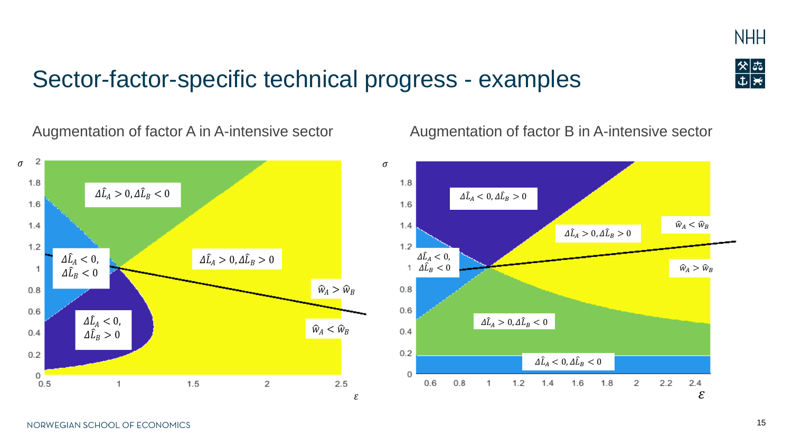

### Sector-factor-specific technical progress - examples

#### Augmentation of factor A in A-intensive sector



Augmentation of factor B in A-intensive sector

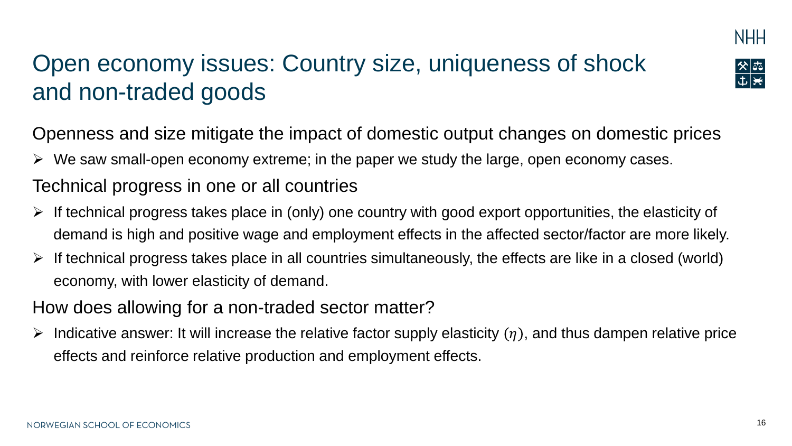

# Open economy issues: Country size, uniqueness of shock and non-traded goods

Openness and size mitigate the impact of domestic output changes on domestic prices

 $\triangleright$  We saw small-open economy extreme; in the paper we study the large, open economy cases.

#### Technical progress in one or all countries

- ➢ If technical progress takes place in (only) one country with good export opportunities, the elasticity of demand is high and positive wage and employment effects in the affected sector/factor are more likely.
- ➢ If technical progress takes place in all countries simultaneously, the effects are like in a closed (world) economy, with lower elasticity of demand.
- How does allowing for a non-traded sector matter?
- $\triangleright$  Indicative answer: It will increase the relative factor supply elasticity  $(\eta)$ , and thus dampen relative price effects and reinforce relative production and employment effects.